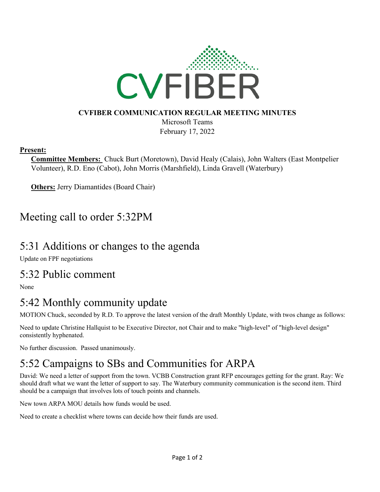

#### **CVFIBER COMMUNICATION REGULAR MEETING MINUTES**

Microsoft Teams February 17, 2022

#### **Present:**

**Committee Members:** Chuck Burt (Moretown), David Healy (Calais), John Walters (East Montpelier Volunteer), R.D. Eno (Cabot), John Morris (Marshfield), Linda Gravell (Waterbury)

**Others:** Jerry Diamantides (Board Chair)

### Meeting call to order 5:32PM

### 5:31 Additions or changes to the agenda

Update on FPF negotiations

#### 5:32 Public comment

None

# 5:42 Monthly community update

MOTION Chuck, seconded by R.D. To approve the latest version of the draft Monthly Update, with twos change as follows:

Need to update Christine Hallquist to be Executive Director, not Chair and to make "high-level" of "high-level design" consistently hyphenated.

No further discussion. Passed unanimously.

# 5:52 Campaigns to SBs and Communities for ARPA

David: We need a letter of support from the town. VCBB Construction grant RFP encourages getting for the grant. Ray: We should draft what we want the letter of support to say. The Waterbury community communication is the second item. Third should be a campaign that involves lots of touch points and channels.

New town ARPA MOU details how funds would be used.

Need to create a checklist where towns can decide how their funds are used.